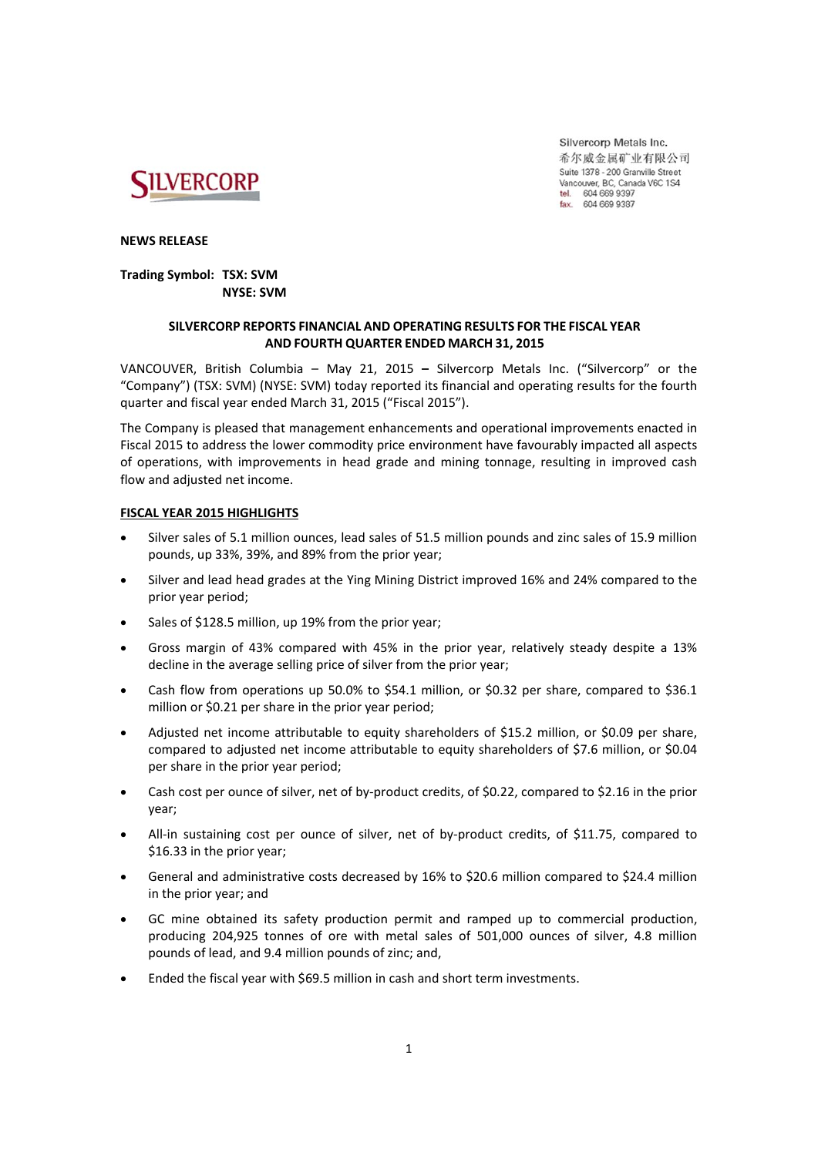

Silvercorp Metals Inc. 希尔威金属矿业有限公司 Suite 1378 - 200 Granville Street Vancouver, BC, Canada V6C 1S4 tel. 604 669 9397 fax. 604 669 9387

### **NEWS RELEASE**

### **Trading Symbol: TSX: SVM NYSE: SVM**

### **SILVERCORP REPORTS FINANCIAL AND OPERATING RESULTS FOR THE FISCAL YEAR AND FOURTH QUARTER ENDED MARCH 31, 2015**

VANCOUVER, British Columbia – May 21, 2015 **–** Silvercorp Metals Inc. ("Silvercorp" or the "Company") (TSX: SVM) (NYSE: SVM) today reported its financial and operating results for the fourth quarter and fiscal year ended March 31, 2015 ("Fiscal 2015").

The Company is pleased that management enhancements and operational improvements enacted in Fiscal 2015 to address the lower commodity price environment have favourably impacted all aspects of operations, with improvements in head grade and mining tonnage, resulting in improved cash flow and adjusted net income.

### **FISCAL YEAR 2015 HIGHLIGHTS**

- Silver sales of 5.1 million ounces, lead sales of 51.5 million pounds and zinc sales of 15.9 million pounds, up 33%, 39%, and 89% from the prior year;
- Silver and lead head grades at the Ying Mining District improved 16% and 24% compared to the prior year period;
- Sales of \$128.5 million, up 19% from the prior year;
- Gross margin of 43% compared with 45% in the prior year, relatively steady despite a 13% decline in the average selling price of silver from the prior year;
- Cash flow from operations up 50.0% to \$54.1 million, or \$0.32 per share, compared to \$36.1 million or \$0.21 per share in the prior year period;
- Adjusted net income attributable to equity shareholders of \$15.2 million, or \$0.09 per share, compared to adjusted net income attributable to equity shareholders of \$7.6 million, or \$0.04 per share in the prior year period;
- Cash cost per ounce of silver, net of by-product credits, of \$0.22, compared to \$2.16 in the prior year;
- All-in sustaining cost per ounce of silver, net of by-product credits, of \$11.75, compared to \$16.33 in the prior year;
- General and administrative costs decreased by 16% to \$20.6 million compared to \$24.4 million in the prior year; and
- GC mine obtained its safety production permit and ramped up to commercial production, producing 204,925 tonnes of ore with metal sales of 501,000 ounces of silver, 4.8 million pounds of lead, and 9.4 million pounds of zinc; and,
- Ended the fiscal year with \$69.5 million in cash and short term investments.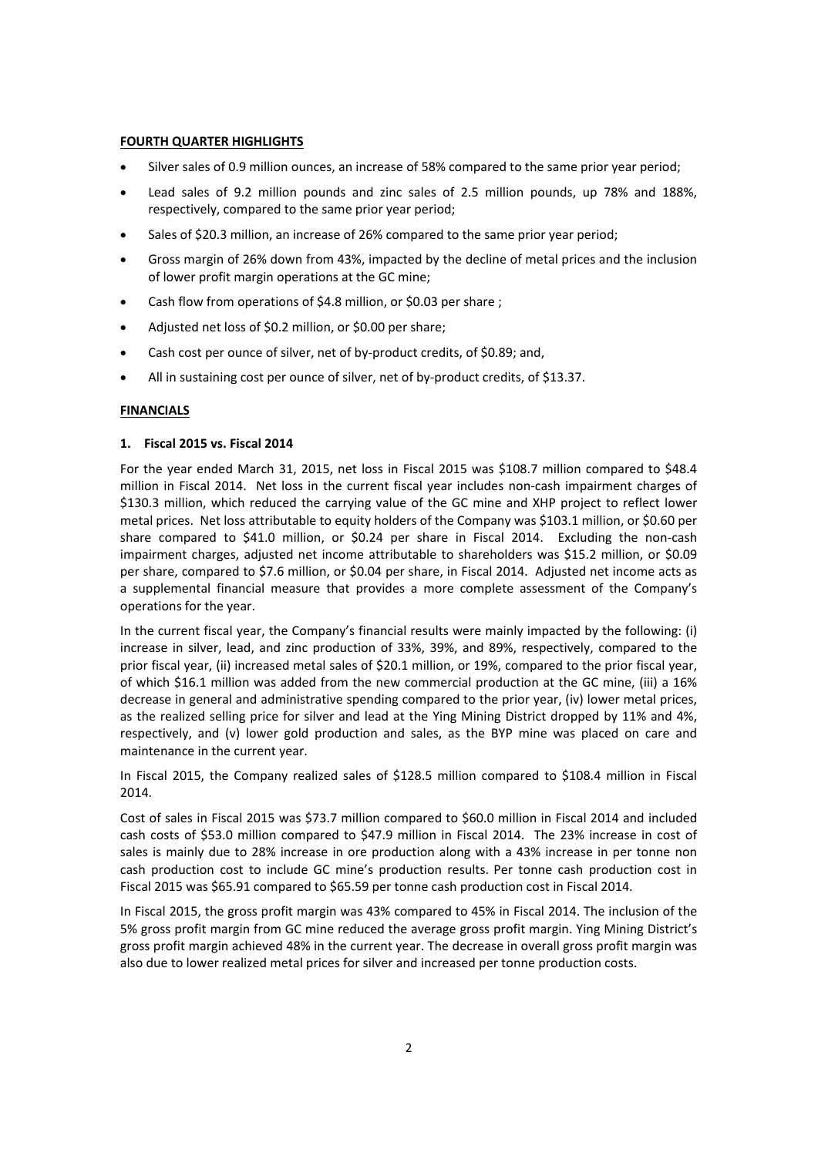### **FOURTH QUARTER HIGHLIGHTS**

- Silver sales of 0.9 million ounces, an increase of 58% compared to the same prior year period;
- Lead sales of 9.2 million pounds and zinc sales of 2.5 million pounds, up 78% and 188%, respectively, compared to the same prior year period;
- Sales of \$20.3 million, an increase of 26% compared to the same prior year period;
- Gross margin of 26% down from 43%, impacted by the decline of metal prices and the inclusion of lower profit margin operations at the GC mine;
- Cash flow from operations of \$4.8 million, or \$0.03 per share ;
- Adjusted net loss of \$0.2 million, or \$0.00 per share;
- Cash cost per ounce of silver, net of by‐product credits, of \$0.89; and,
- All in sustaining cost per ounce of silver, net of by‐product credits, of \$13.37.

### **FINANCIALS**

### **1. Fiscal 2015 vs. Fiscal 2014**

For the year ended March 31, 2015, net loss in Fiscal 2015 was \$108.7 million compared to \$48.4 million in Fiscal 2014. Net loss in the current fiscal year includes non-cash impairment charges of \$130.3 million, which reduced the carrying value of the GC mine and XHP project to reflect lower metal prices. Net loss attributable to equity holders of the Company was \$103.1 million, or \$0.60 per share compared to \$41.0 million, or \$0.24 per share in Fiscal 2014. Excluding the non-cash impairment charges, adjusted net income attributable to shareholders was \$15.2 million, or \$0.09 per share, compared to \$7.6 million, or \$0.04 per share, in Fiscal 2014. Adjusted net income acts as a supplemental financial measure that provides a more complete assessment of the Company's operations for the year.

In the current fiscal year, the Company's financial results were mainly impacted by the following: (i) increase in silver, lead, and zinc production of 33%, 39%, and 89%, respectively, compared to the prior fiscal year, (ii) increased metal sales of \$20.1 million, or 19%, compared to the prior fiscal year, of which \$16.1 million was added from the new commercial production at the GC mine, (iii) a 16% decrease in general and administrative spending compared to the prior year, (iv) lower metal prices, as the realized selling price for silver and lead at the Ying Mining District dropped by 11% and 4%, respectively, and (v) lower gold production and sales, as the BYP mine was placed on care and maintenance in the current year.

In Fiscal 2015, the Company realized sales of \$128.5 million compared to \$108.4 million in Fiscal 2014.

Cost of sales in Fiscal 2015 was \$73.7 million compared to \$60.0 million in Fiscal 2014 and included cash costs of \$53.0 million compared to \$47.9 million in Fiscal 2014. The 23% increase in cost of sales is mainly due to 28% increase in ore production along with a 43% increase in per tonne non cash production cost to include GC mine's production results. Per tonne cash production cost in Fiscal 2015 was \$65.91 compared to \$65.59 per tonne cash production cost in Fiscal 2014.

In Fiscal 2015, the gross profit margin was 43% compared to 45% in Fiscal 2014. The inclusion of the 5% gross profit margin from GC mine reduced the average gross profit margin. Ying Mining District's gross profit margin achieved 48% in the current year. The decrease in overall gross profit margin was also due to lower realized metal prices for silver and increased per tonne production costs.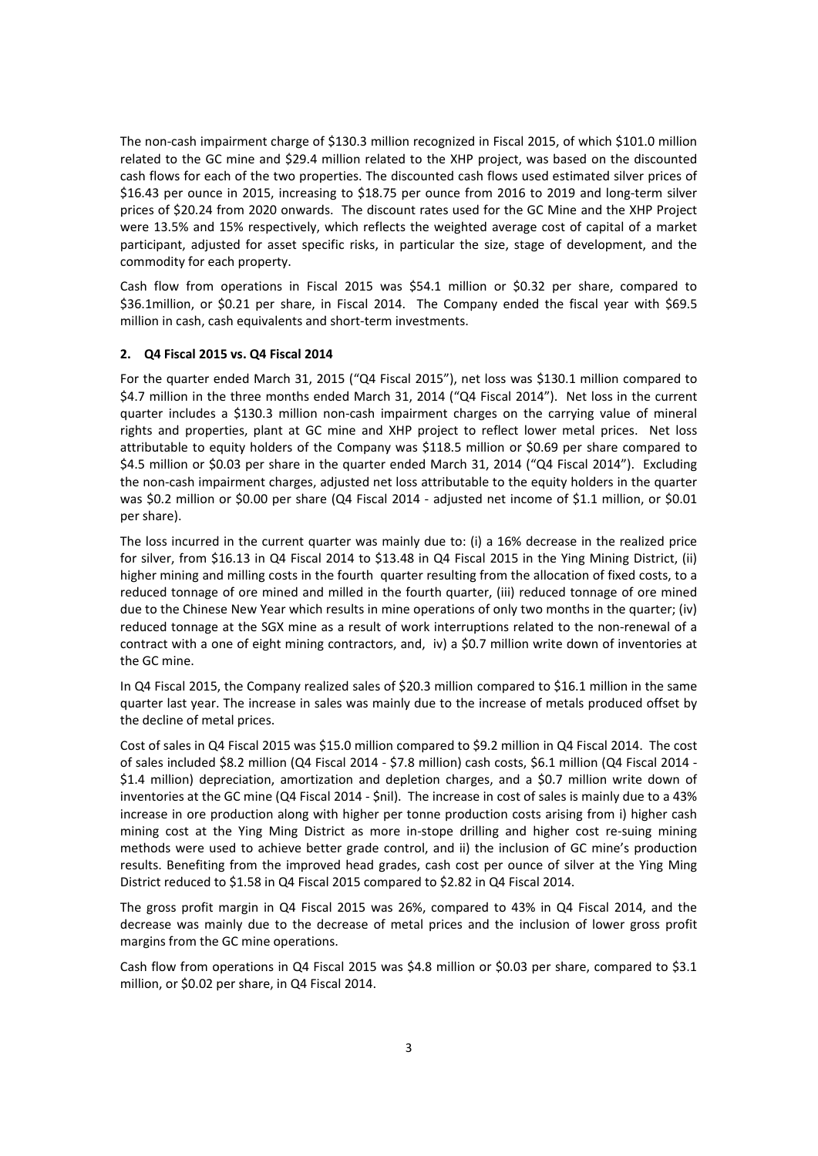The non‐cash impairment charge of \$130.3 million recognized in Fiscal 2015, of which \$101.0 million related to the GC mine and \$29.4 million related to the XHP project, was based on the discounted cash flows for each of the two properties. The discounted cash flows used estimated silver prices of \$16.43 per ounce in 2015, increasing to \$18.75 per ounce from 2016 to 2019 and long-term silver prices of \$20.24 from 2020 onwards. The discount rates used for the GC Mine and the XHP Project were 13.5% and 15% respectively, which reflects the weighted average cost of capital of a market participant, adjusted for asset specific risks, in particular the size, stage of development, and the commodity for each property.

Cash flow from operations in Fiscal 2015 was \$54.1 million or \$0.32 per share, compared to \$36.1 million, or \$0.21 per share, in Fiscal 2014. The Company ended the fiscal year with \$69.5 million in cash, cash equivalents and short-term investments.

### **2. Q4 Fiscal 2015 vs. Q4 Fiscal 2014**

For the quarter ended March 31, 2015 ("Q4 Fiscal 2015"), net loss was \$130.1 million compared to \$4.7 million in the three months ended March 31, 2014 ("Q4 Fiscal 2014"). Net loss in the current quarter includes a \$130.3 million non-cash impairment charges on the carrying value of mineral rights and properties, plant at GC mine and XHP project to reflect lower metal prices. Net loss attributable to equity holders of the Company was \$118.5 million or \$0.69 per share compared to \$4.5 million or \$0.03 per share in the quarter ended March 31, 2014 ("Q4 Fiscal 2014"). Excluding the non-cash impairment charges, adjusted net loss attributable to the equity holders in the quarter was \$0.2 million or \$0.00 per share (Q4 Fiscal 2014 - adjusted net income of \$1.1 million, or \$0.01 per share).

The loss incurred in the current quarter was mainly due to: (i) a 16% decrease in the realized price for silver, from \$16.13 in Q4 Fiscal 2014 to \$13.48 in Q4 Fiscal 2015 in the Ying Mining District, (ii) higher mining and milling costs in the fourth quarter resulting from the allocation of fixed costs, to a reduced tonnage of ore mined and milled in the fourth quarter, (iii) reduced tonnage of ore mined due to the Chinese New Year which results in mine operations of only two months in the quarter; (iv) reduced tonnage at the SGX mine as a result of work interruptions related to the non-renewal of a contract with a one of eight mining contractors, and, iv) a \$0.7 million write down of inventories at the GC mine.

In Q4 Fiscal 2015, the Company realized sales of \$20.3 million compared to \$16.1 million in the same quarter last year. The increase in sales was mainly due to the increase of metals produced offset by the decline of metal prices.

Cost of sales in Q4 Fiscal 2015 was \$15.0 million compared to \$9.2 million in Q4 Fiscal 2014. The cost of sales included \$8.2 million (Q4 Fiscal 2014 ‐ \$7.8 million) cash costs, \$6.1 million (Q4 Fiscal 2014 ‐ \$1.4 million) depreciation, amortization and depletion charges, and a \$0.7 million write down of inventories at the GC mine (Q4 Fiscal 2014 ‐ \$nil). The increase in cost of sales is mainly due to a 43% increase in ore production along with higher per tonne production costs arising from i) higher cash mining cost at the Ying Ming District as more in-stope drilling and higher cost re-suing mining methods were used to achieve better grade control, and ii) the inclusion of GC mine's production results. Benefiting from the improved head grades, cash cost per ounce of silver at the Ying Ming District reduced to \$1.58 in Q4 Fiscal 2015 compared to \$2.82 in Q4 Fiscal 2014.

The gross profit margin in Q4 Fiscal 2015 was 26%, compared to 43% in Q4 Fiscal 2014, and the decrease was mainly due to the decrease of metal prices and the inclusion of lower gross profit margins from the GC mine operations.

Cash flow from operations in Q4 Fiscal 2015 was \$4.8 million or \$0.03 per share, compared to \$3.1 million, or \$0.02 per share, in Q4 Fiscal 2014.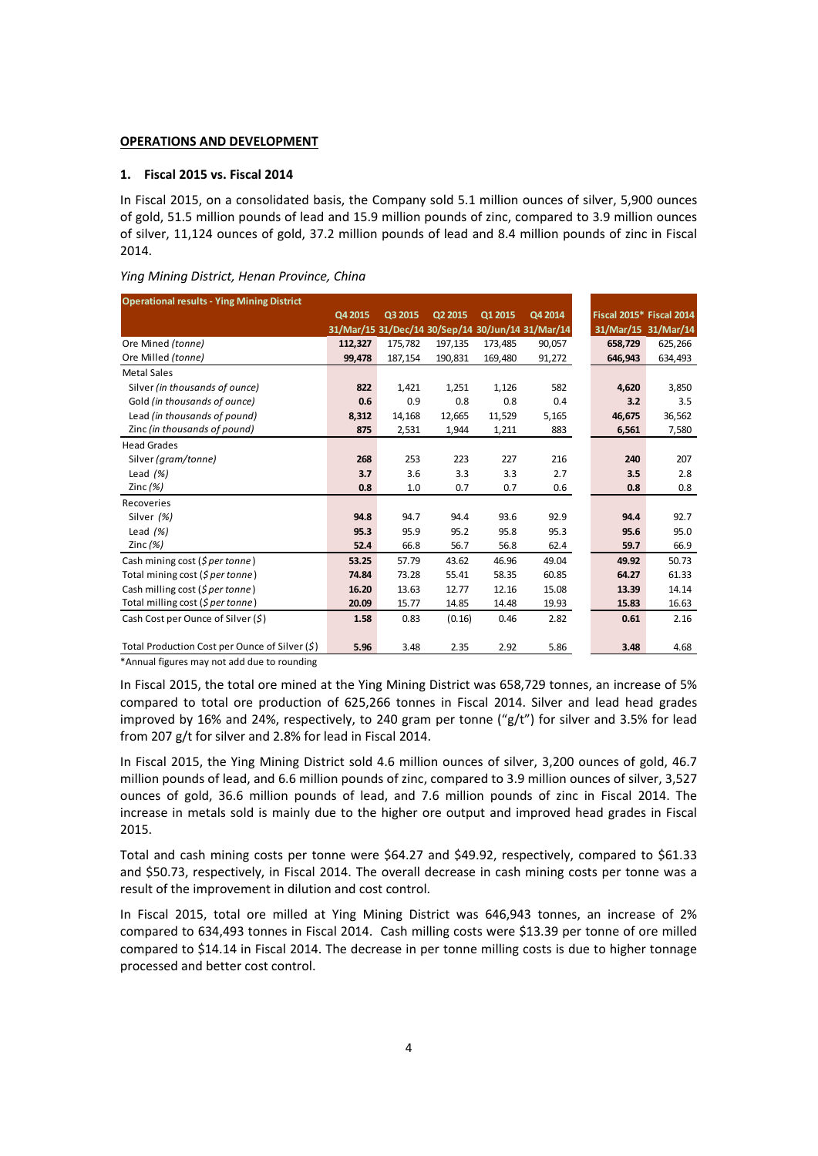### **OPERATIONS AND DEVELOPMENT**

### **1. Fiscal 2015 vs. Fiscal 2014**

In Fiscal 2015, on a consolidated basis, the Company sold 5.1 million ounces of silver, 5,900 ounces of gold, 51.5 million pounds of lead and 15.9 million pounds of zinc, compared to 3.9 million ounces of silver, 11,124 ounces of gold, 37.2 million pounds of lead and 8.4 million pounds of zinc in Fiscal 2014.

#### *Ying Mining District, Henan Province, China*

| <b>Operational results - Ying Mining District</b> |         |         |         |         |                                                   |                          |  |
|---------------------------------------------------|---------|---------|---------|---------|---------------------------------------------------|--------------------------|--|
|                                                   | Q4 2015 | Q3 2015 | Q2 2015 | Q1 2015 | Q4 2014                                           | Fiscal 2015* Fiscal 2014 |  |
|                                                   |         |         |         |         | 31/Mar/15 31/Dec/14 30/Sep/14 30/Jun/14 31/Mar/14 | 31/Mar/15 31/Mar/14      |  |
| Ore Mined (tonne)                                 | 112,327 | 175,782 | 197,135 | 173,485 | 90,057                                            | 658,729                  |  |
| Ore Milled (tonne)                                | 99,478  | 187,154 | 190,831 | 169,480 | 91,272                                            | 646,943                  |  |
| <b>Metal Sales</b>                                |         |         |         |         |                                                   |                          |  |
| Silver (in thousands of ounce)                    | 822     | 1,421   | 1,251   | 1,126   | 582                                               | 4,620                    |  |
| Gold (in thousands of ounce)                      | 0.6     | 0.9     | 0.8     | 0.8     | 0.4                                               | 3.2                      |  |
| Lead (in thousands of pound)                      | 8,312   | 14,168  | 12,665  | 11,529  | 5,165                                             | 46,675                   |  |
| Zinc (in thousands of pound)                      | 875     | 2,531   | 1,944   | 1,211   | 883                                               | 6,561                    |  |
| <b>Head Grades</b>                                |         |         |         |         |                                                   |                          |  |
| Silver (gram/tonne)                               | 268     | 253     | 223     | 227     | 216                                               | 240                      |  |
| Lead $(\%)$                                       | 3.7     | 3.6     | 3.3     | 3.3     | 2.7                                               | 3.5                      |  |
| Zinc $(\%)$                                       | 0.8     | 1.0     | 0.7     | 0.7     | 0.6                                               | 0.8                      |  |
| Recoveries                                        |         |         |         |         |                                                   |                          |  |
| Silver (%)                                        | 94.8    | 94.7    | 94.4    | 93.6    | 92.9                                              | 94.4                     |  |
| Lead $(%)$                                        | 95.3    | 95.9    | 95.2    | 95.8    | 95.3                                              | 95.6                     |  |
| Zinc $(%)$                                        | 52.4    | 66.8    | 56.7    | 56.8    | 62.4                                              | 59.7                     |  |
| Cash mining cost (\$ per tonne)                   | 53.25   | 57.79   | 43.62   | 46.96   | 49.04                                             | 49.92                    |  |
| Total mining cost (\$ per tonne)                  | 74.84   | 73.28   | 55.41   | 58.35   | 60.85                                             | 64.27                    |  |
| Cash milling cost (S per tonne)                   | 16.20   | 13.63   | 12.77   | 12.16   | 15.08                                             | 13.39                    |  |
| Total milling cost (\$ per tonne)                 | 20.09   | 15.77   | 14.85   | 14.48   | 19.93                                             | 15.83                    |  |
| Cash Cost per Ounce of Silver $(5)$               | 1.58    | 0.83    | (0.16)  | 0.46    | 2.82                                              | 0.61                     |  |
| Total Production Cost per Ounce of Silver (\$)    | 5.96    | 3.48    | 2.35    | 2.92    | 5.86                                              | 3.48                     |  |

\*Annual figures may not add due to rounding

In Fiscal 2015, the total ore mined at the Ying Mining District was 658,729 tonnes, an increase of 5% compared to total ore production of 625,266 tonnes in Fiscal 2014. Silver and lead head grades improved by 16% and 24%, respectively, to 240 gram per tonne ("g/t") for silver and 3.5% for lead from 207 g/t for silver and 2.8% for lead in Fiscal 2014.

In Fiscal 2015, the Ying Mining District sold 4.6 million ounces of silver, 3,200 ounces of gold, 46.7 million pounds of lead, and 6.6 million pounds of zinc, compared to 3.9 million ounces of silver, 3,527 ounces of gold, 36.6 million pounds of lead, and 7.6 million pounds of zinc in Fiscal 2014. The increase in metals sold is mainly due to the higher ore output and improved head grades in Fiscal 2015.

Total and cash mining costs per tonne were \$64.27 and \$49.92, respectively, compared to \$61.33 and \$50.73, respectively, in Fiscal 2014. The overall decrease in cash mining costs per tonne was a result of the improvement in dilution and cost control.

In Fiscal 2015, total ore milled at Ying Mining District was 646,943 tonnes, an increase of 2% compared to 634,493 tonnes in Fiscal 2014. Cash milling costs were \$13.39 per tonne of ore milled compared to \$14.14 in Fiscal 2014. The decrease in per tonne milling costs is due to higher tonnage processed and better cost control.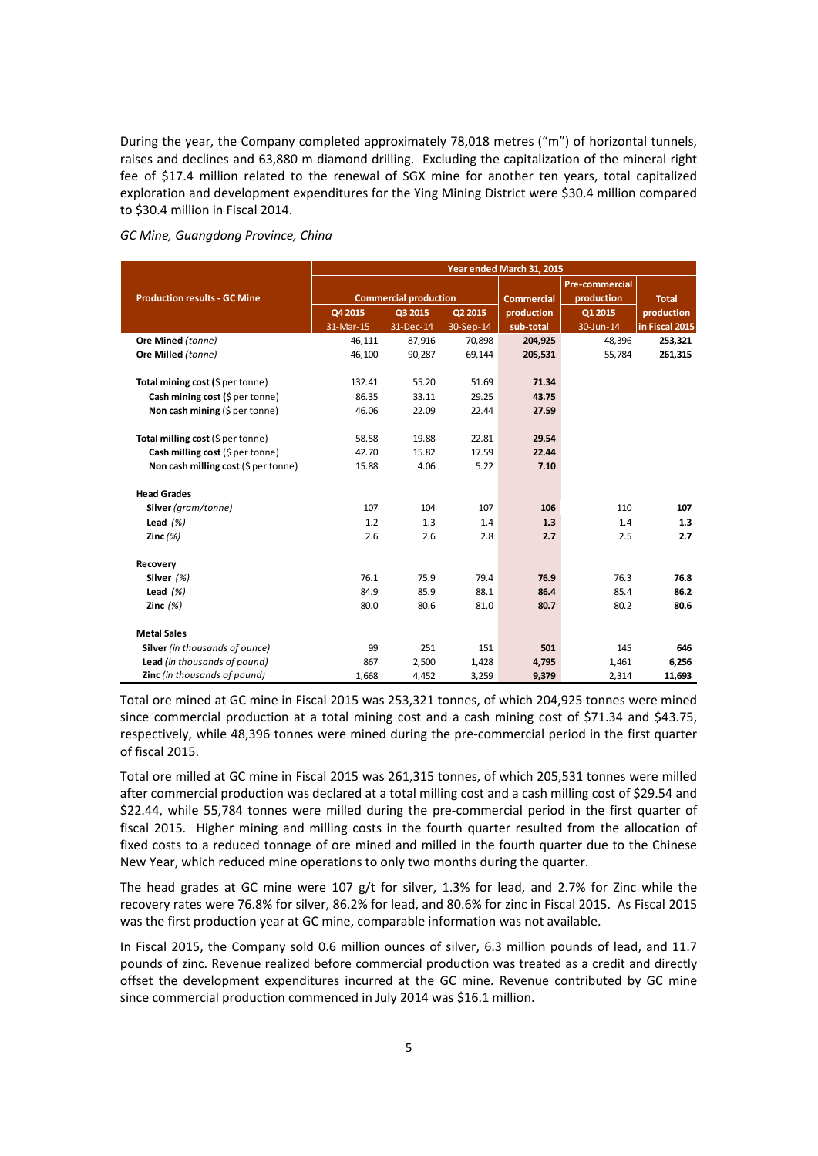During the year, the Company completed approximately 78,018 metres ("m") of horizontal tunnels, raises and declines and 63,880 m diamond drilling. Excluding the capitalization of the mineral right fee of \$17.4 million related to the renewal of SGX mine for another ten years, total capitalized exploration and development expenditures for the Ying Mining District were \$30.4 million compared to \$30.4 million in Fiscal 2014.

|  | GC Mine, Guangdong Province, China |  |  |
|--|------------------------------------|--|--|
|--|------------------------------------|--|--|

|                                      | Year ended March 31, 2015 |                              |           |                   |                |                |
|--------------------------------------|---------------------------|------------------------------|-----------|-------------------|----------------|----------------|
|                                      |                           |                              |           |                   | Pre-commercial |                |
| <b>Production results - GC Mine</b>  |                           | <b>Commercial production</b> |           | <b>Commercial</b> | production     | <b>Total</b>   |
|                                      | Q4 2015                   | Q3 2015                      | Q2 2015   | production        | Q1 2015        | production     |
|                                      | 31-Mar-15                 | 31-Dec-14                    | 30-Sep-14 | sub-total         | 30-Jun-14      | in Fiscal 2015 |
| Ore Mined (tonne)                    | 46.111                    | 87,916                       | 70.898    | 204,925           | 48.396         | 253,321        |
| Ore Milled (tonne)                   | 46,100                    | 90,287                       | 69,144    | 205,531           | 55,784         | 261,315        |
|                                      |                           |                              |           |                   |                |                |
| Total mining cost (\$ per tonne)     | 132.41                    | 55.20                        | 51.69     | 71.34             |                |                |
| Cash mining cost (\$ per tonne)      | 86.35                     | 33.11                        | 29.25     | 43.75             |                |                |
| Non cash mining (\$ per tonne)       | 46.06                     | 22.09                        | 22.44     | 27.59             |                |                |
|                                      |                           |                              |           |                   |                |                |
| Total milling cost (\$ per tonne)    | 58.58                     | 19.88                        | 22.81     | 29.54             |                |                |
| Cash milling cost (\$ per tonne)     | 42.70                     | 15.82                        | 17.59     | 22.44             |                |                |
| Non cash milling cost (\$ per tonne) | 15.88                     | 4.06                         | 5.22      | 7.10              |                |                |
| <b>Head Grades</b>                   |                           |                              |           |                   |                |                |
| Silver (gram/tonne)                  | 107                       | 104                          | 107       | 106               | 110            | 107            |
| Lead $(%)$                           | 1.2                       | 1.3                          | 1.4       | 1.3               | 1.4            | 1.3            |
| Zinc $(%)$                           | 2.6                       | 2.6                          | 2.8       | 2.7               | 2.5            | 2.7            |
| Recovery                             |                           |                              |           |                   |                |                |
| Silver $(%)$                         | 76.1                      | 75.9                         | 79.4      | 76.9              | 76.3           | 76.8           |
| Lead $(%)$                           | 84.9                      | 85.9                         | 88.1      | 86.4              | 85.4           | 86.2           |
| Zinc $(%)$                           | 80.0                      | 80.6                         | 81.0      | 80.7              | 80.2           | 80.6           |
|                                      |                           |                              |           |                   |                |                |
| <b>Metal Sales</b>                   |                           |                              |           |                   |                |                |
| Silver (in thousands of ounce)       | 99                        | 251                          | 151       | 501               | 145            | 646            |
| Lead (in thousands of pound)         | 867                       | 2,500                        | 1,428     | 4,795             | 1,461          | 6,256          |
| Zinc (in thousands of pound)         | 1,668                     | 4,452                        | 3,259     | 9,379             | 2,314          | 11,693         |

Total ore mined at GC mine in Fiscal 2015 was 253,321 tonnes, of which 204,925 tonnes were mined since commercial production at a total mining cost and a cash mining cost of \$71.34 and \$43.75, respectively, while 48,396 tonnes were mined during the pre-commercial period in the first quarter of fiscal 2015.

Total ore milled at GC mine in Fiscal 2015 was 261,315 tonnes, of which 205,531 tonnes were milled after commercial production was declared at a total milling cost and a cash milling cost of \$29.54 and \$22.44, while 55,784 tonnes were milled during the pre‐commercial period in the first quarter of fiscal 2015. Higher mining and milling costs in the fourth quarter resulted from the allocation of fixed costs to a reduced tonnage of ore mined and milled in the fourth quarter due to the Chinese New Year, which reduced mine operations to only two months during the quarter.

The head grades at GC mine were 107 g/t for silver, 1.3% for lead, and 2.7% for Zinc while the recovery rates were 76.8% for silver, 86.2% for lead, and 80.6% for zinc in Fiscal 2015. As Fiscal 2015 was the first production year at GC mine, comparable information was not available.

In Fiscal 2015, the Company sold 0.6 million ounces of silver, 6.3 million pounds of lead, and 11.7 pounds of zinc. Revenue realized before commercial production was treated as a credit and directly offset the development expenditures incurred at the GC mine. Revenue contributed by GC mine since commercial production commenced in July 2014 was \$16.1 million.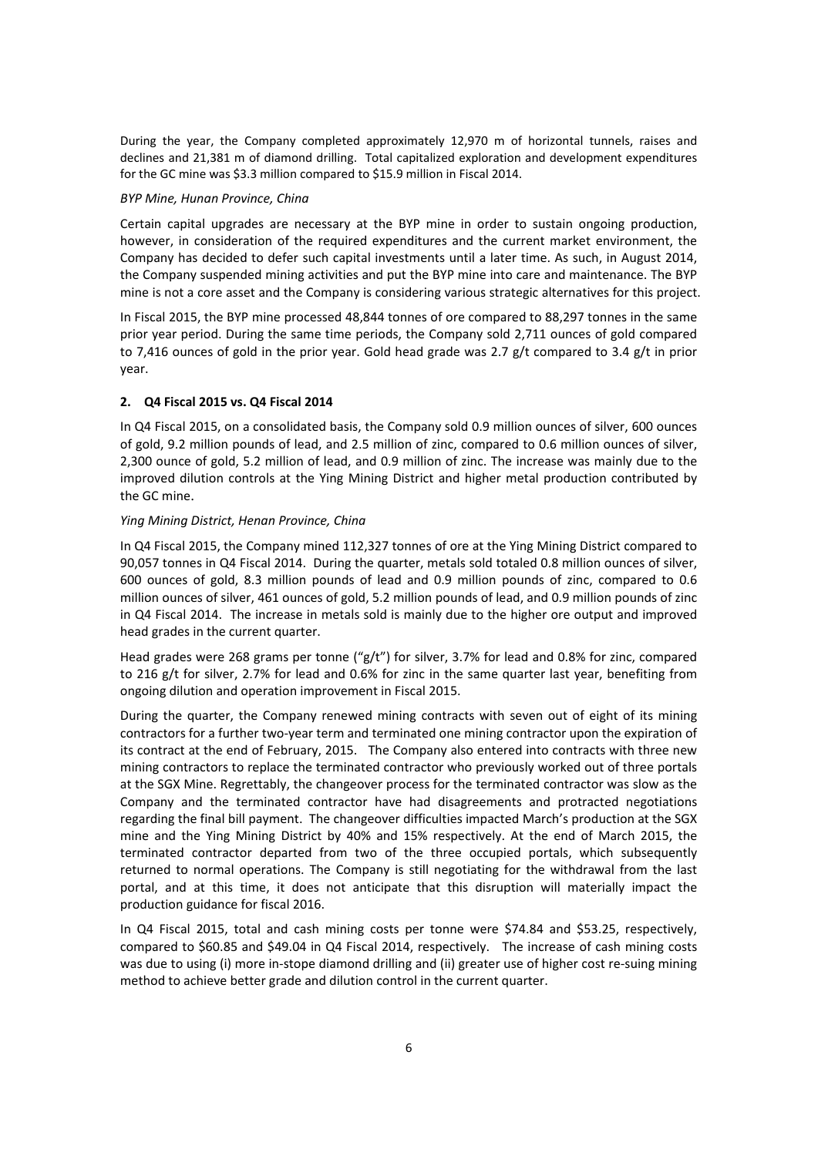During the year, the Company completed approximately 12,970 m of horizontal tunnels, raises and declines and 21,381 m of diamond drilling. Total capitalized exploration and development expenditures for the GC mine was \$3.3 million compared to \$15.9 million in Fiscal 2014.

### *BYP Mine, Hunan Province, China*

Certain capital upgrades are necessary at the BYP mine in order to sustain ongoing production, however, in consideration of the required expenditures and the current market environment, the Company has decided to defer such capital investments until a later time. As such, in August 2014, the Company suspended mining activities and put the BYP mine into care and maintenance. The BYP mine is not a core asset and the Company is considering various strategic alternatives for this project.

In Fiscal 2015, the BYP mine processed 48,844 tonnes of ore compared to 88,297 tonnes in the same prior year period. During the same time periods, the Company sold 2,711 ounces of gold compared to 7,416 ounces of gold in the prior year. Gold head grade was 2.7 g/t compared to 3.4 g/t in prior year.

### **2. Q4 Fiscal 2015 vs. Q4 Fiscal 2014**

In Q4 Fiscal 2015, on a consolidated basis, the Company sold 0.9 million ounces of silver, 600 ounces of gold, 9.2 million pounds of lead, and 2.5 million of zinc, compared to 0.6 million ounces of silver, 2,300 ounce of gold, 5.2 million of lead, and 0.9 million of zinc. The increase was mainly due to the improved dilution controls at the Ying Mining District and higher metal production contributed by the GC mine.

### *Ying Mining District, Henan Province, China*

In Q4 Fiscal 2015, the Company mined 112,327 tonnes of ore at the Ying Mining District compared to 90,057 tonnes in Q4 Fiscal 2014. During the quarter, metals sold totaled 0.8 million ounces of silver, 600 ounces of gold, 8.3 million pounds of lead and 0.9 million pounds of zinc, compared to 0.6 million ounces of silver, 461 ounces of gold, 5.2 million pounds of lead, and 0.9 million pounds of zinc in Q4 Fiscal 2014. The increase in metals sold is mainly due to the higher ore output and improved head grades in the current quarter.

Head grades were 268 grams per tonne ("g/t") for silver, 3.7% for lead and 0.8% for zinc, compared to 216 g/t for silver, 2.7% for lead and 0.6% for zinc in the same quarter last year, benefiting from ongoing dilution and operation improvement in Fiscal 2015.

During the quarter, the Company renewed mining contracts with seven out of eight of its mining contractors for a further two‐year term and terminated one mining contractor upon the expiration of its contract at the end of February, 2015. The Company also entered into contracts with three new mining contractors to replace the terminated contractor who previously worked out of three portals at the SGX Mine. Regrettably, the changeover process for the terminated contractor was slow as the Company and the terminated contractor have had disagreements and protracted negotiations regarding the final bill payment. The changeover difficulties impacted March's production at the SGX mine and the Ying Mining District by 40% and 15% respectively. At the end of March 2015, the terminated contractor departed from two of the three occupied portals, which subsequently returned to normal operations. The Company is still negotiating for the withdrawal from the last portal, and at this time, it does not anticipate that this disruption will materially impact the production guidance for fiscal 2016.

In Q4 Fiscal 2015, total and cash mining costs per tonne were \$74.84 and \$53.25, respectively, compared to \$60.85 and \$49.04 in Q4 Fiscal 2014, respectively. The increase of cash mining costs was due to using (i) more in-stope diamond drilling and (ii) greater use of higher cost re-suing mining method to achieve better grade and dilution control in the current quarter.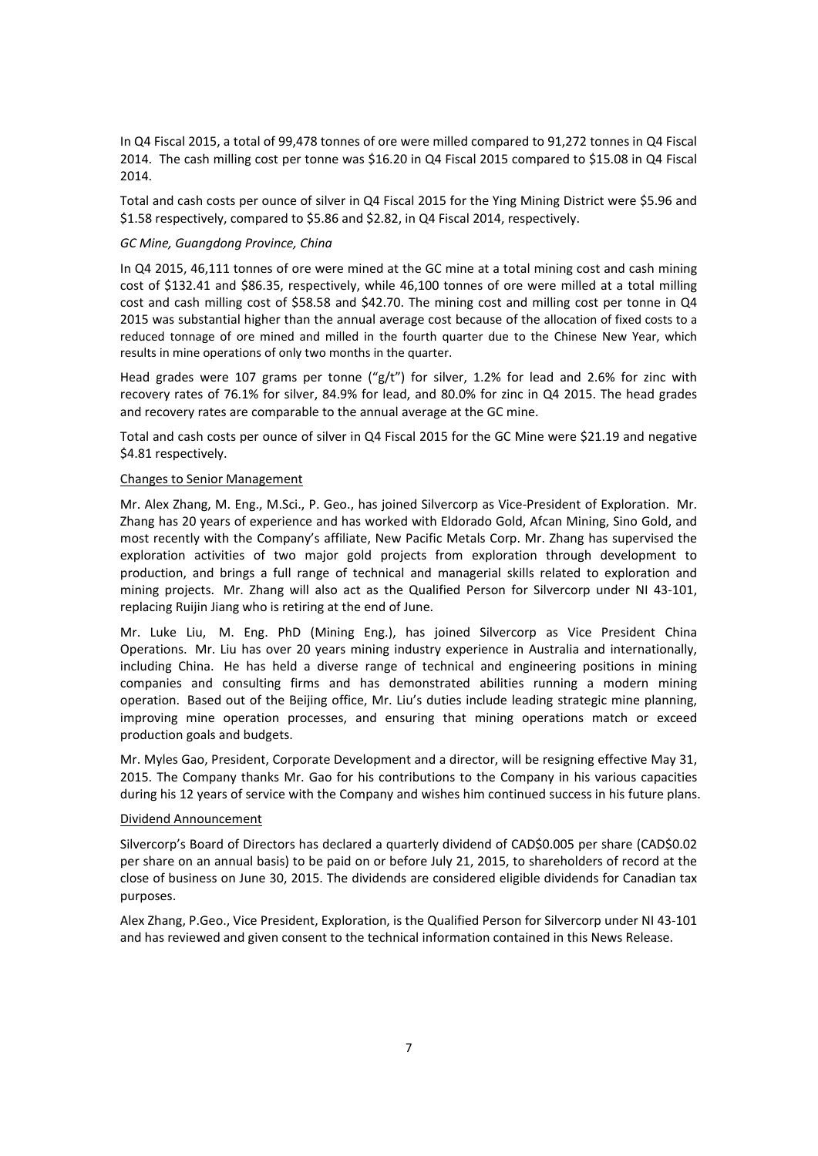In Q4 Fiscal 2015, a total of 99,478 tonnes of ore were milled compared to 91,272 tonnes in Q4 Fiscal 2014. The cash milling cost per tonne was \$16.20 in Q4 Fiscal 2015 compared to \$15.08 in Q4 Fiscal 2014.

Total and cash costs per ounce of silver in Q4 Fiscal 2015 for the Ying Mining District were \$5.96 and \$1.58 respectively, compared to \$5.86 and \$2.82, in Q4 Fiscal 2014, respectively.

### *GC Mine, Guangdong Province, China*

In Q4 2015, 46,111 tonnes of ore were mined at the GC mine at a total mining cost and cash mining cost of \$132.41 and \$86.35, respectively, while 46,100 tonnes of ore were milled at a total milling cost and cash milling cost of \$58.58 and \$42.70. The mining cost and milling cost per tonne in Q4 2015 was substantial higher than the annual average cost because of the allocation of fixed costs to a reduced tonnage of ore mined and milled in the fourth quarter due to the Chinese New Year, which results in mine operations of only two months in the quarter.

Head grades were 107 grams per tonne ("g/t") for silver, 1.2% for lead and 2.6% for zinc with recovery rates of 76.1% for silver, 84.9% for lead, and 80.0% for zinc in Q4 2015. The head grades and recovery rates are comparable to the annual average at the GC mine.

Total and cash costs per ounce of silver in Q4 Fiscal 2015 for the GC Mine were \$21.19 and negative \$4.81 respectively.

### Changes to Senior Management

Mr. Alex Zhang, M. Eng., M.Sci., P. Geo., has joined Silvercorp as Vice‐President of Exploration. Mr. Zhang has 20 years of experience and has worked with Eldorado Gold, Afcan Mining, Sino Gold, and most recently with the Company's affiliate, New Pacific Metals Corp. Mr. Zhang has supervised the exploration activities of two major gold projects from exploration through development to production, and brings a full range of technical and managerial skills related to exploration and mining projects. Mr. Zhang will also act as the Qualified Person for Silvercorp under NI 43-101, replacing Ruijin Jiang who is retiring at the end of June.

Mr. Luke Liu, M. Eng. PhD (Mining Eng.), has joined Silvercorp as Vice President China Operations. Mr. Liu has over 20 years mining industry experience in Australia and internationally, including China. He has held a diverse range of technical and engineering positions in mining companies and consulting firms and has demonstrated abilities running a modern mining operation. Based out of the Beijing office, Mr. Liu's duties include leading strategic mine planning, improving mine operation processes, and ensuring that mining operations match or exceed production goals and budgets.

Mr. Myles Gao, President, Corporate Development and a director, will be resigning effective May 31, 2015. The Company thanks Mr. Gao for his contributions to the Company in his various capacities during his 12 years of service with the Company and wishes him continued success in his future plans.

### Dividend Announcement

Silvercorp's Board of Directors has declared a quarterly dividend of CAD\$0.005 per share (CAD\$0.02 per share on an annual basis) to be paid on or before July 21, 2015, to shareholders of record at the close of business on June 30, 2015. The dividends are considered eligible dividends for Canadian tax purposes.

Alex Zhang, P.Geo., Vice President, Exploration, is the Qualified Person for Silvercorp under NI 43‐101 and has reviewed and given consent to the technical information contained in this News Release.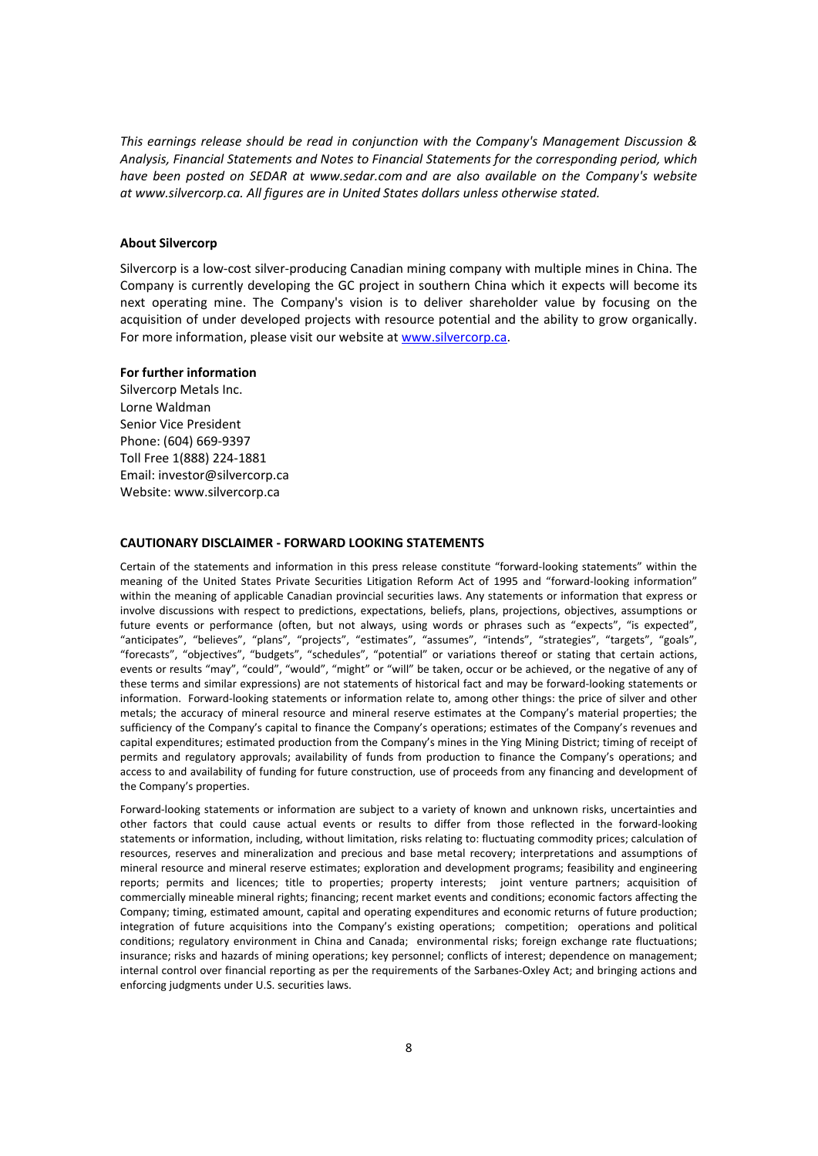*This earnings release should be read in conjunction with the Company's Management Discussion & Analysis, Financial Statements and Notes to Financial Statements for the corresponding period, which have been posted on SEDAR at www.sedar.com and are also available on the Company's website at www.silvercorp.ca. All figures are in United States dollars unless otherwise stated.*

#### **About Silvercorp**

Silvercorp is a low‐cost silver‐producing Canadian mining company with multiple mines in China. The Company is currently developing the GC project in southern China which it expects will become its next operating mine. The Company's vision is to deliver shareholder value by focusing on the acquisition of under developed projects with resource potential and the ability to grow organically. For more information, please visit our website at www.silvercorp.ca.

#### **For further information**

Silvercorp Metals Inc. Lorne Waldman Senior Vice President Phone: (604) 669‐9397 Toll Free 1(888) 224‐1881 Email: investor@silvercorp.ca Website: www.silvercorp.ca

#### **CAUTIONARY DISCLAIMER ‐ FORWARD LOOKING STATEMENTS**

Certain of the statements and information in this press release constitute "forward‐looking statements" within the meaning of the United States Private Securities Litigation Reform Act of 1995 and "forward-looking information" within the meaning of applicable Canadian provincial securities laws. Any statements or information that express or involve discussions with respect to predictions, expectations, beliefs, plans, projections, objectives, assumptions or future events or performance (often, but not always, using words or phrases such as "expects", "is expected", "anticipates", "believes", "plans", "projects", "estimates", "assumes", "intends", "strategies", "targets", "goals", "forecasts", "objectives", "budgets", "schedules", "potential" or variations thereof or stating that certain actions, events or results "may", "could", "would", "might" or "will" be taken, occur or be achieved, or the negative of any of these terms and similar expressions) are not statements of historical fact and may be forward‐looking statements or information. Forward-looking statements or information relate to, among other things: the price of silver and other metals; the accuracy of mineral resource and mineral reserve estimates at the Company's material properties; the sufficiency of the Company's capital to finance the Company's operations; estimates of the Company's revenues and capital expenditures; estimated production from the Company's mines in the Ying Mining District; timing of receipt of permits and regulatory approvals; availability of funds from production to finance the Company's operations; and access to and availability of funding for future construction, use of proceeds from any financing and development of the Company's properties.

Forward‐looking statements or information are subject to a variety of known and unknown risks, uncertainties and other factors that could cause actual events or results to differ from those reflected in the forward‐looking statements or information, including, without limitation, risks relating to: fluctuating commodity prices; calculation of resources, reserves and mineralization and precious and base metal recovery; interpretations and assumptions of mineral resource and mineral reserve estimates; exploration and development programs; feasibility and engineering reports; permits and licences; title to properties; property interests; joint venture partners; acquisition of commercially mineable mineral rights; financing; recent market events and conditions; economic factors affecting the Company; timing, estimated amount, capital and operating expenditures and economic returns of future production; integration of future acquisitions into the Company's existing operations; competition; operations and political conditions; regulatory environment in China and Canada; environmental risks; foreign exchange rate fluctuations; insurance; risks and hazards of mining operations; key personnel; conflicts of interest; dependence on management; internal control over financial reporting as per the requirements of the Sarbanes‐Oxley Act; and bringing actions and enforcing judgments under U.S. securities laws.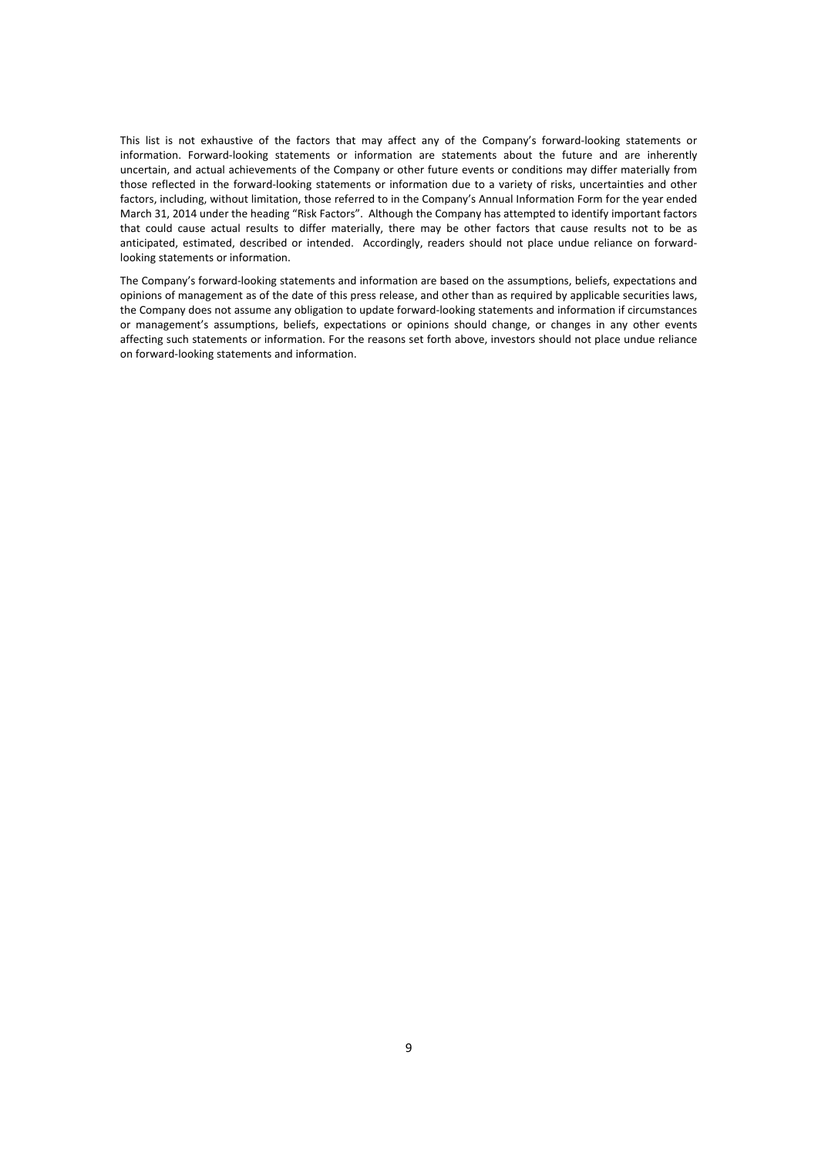This list is not exhaustive of the factors that may affect any of the Company's forward‐looking statements or information. Forward-looking statements or information are statements about the future and are inherently uncertain, and actual achievements of the Company or other future events or conditions may differ materially from those reflected in the forward‐looking statements or information due to a variety of risks, uncertainties and other factors, including, without limitation, those referred to in the Company's Annual Information Form for the year ended March 31, 2014 under the heading "Risk Factors". Although the Company has attempted to identify important factors that could cause actual results to differ materially, there may be other factors that cause results not to be as anticipated, estimated, described or intended. Accordingly, readers should not place undue reliance on forwardlooking statements or information.

The Company's forward-looking statements and information are based on the assumptions, beliefs, expectations and opinions of management as of the date of this press release, and other than as required by applicable securities laws, the Company does not assume any obligation to update forward‐looking statements and information if circumstances or management's assumptions, beliefs, expectations or opinions should change, or changes in any other events affecting such statements or information. For the reasons set forth above, investors should not place undue reliance on forward‐looking statements and information.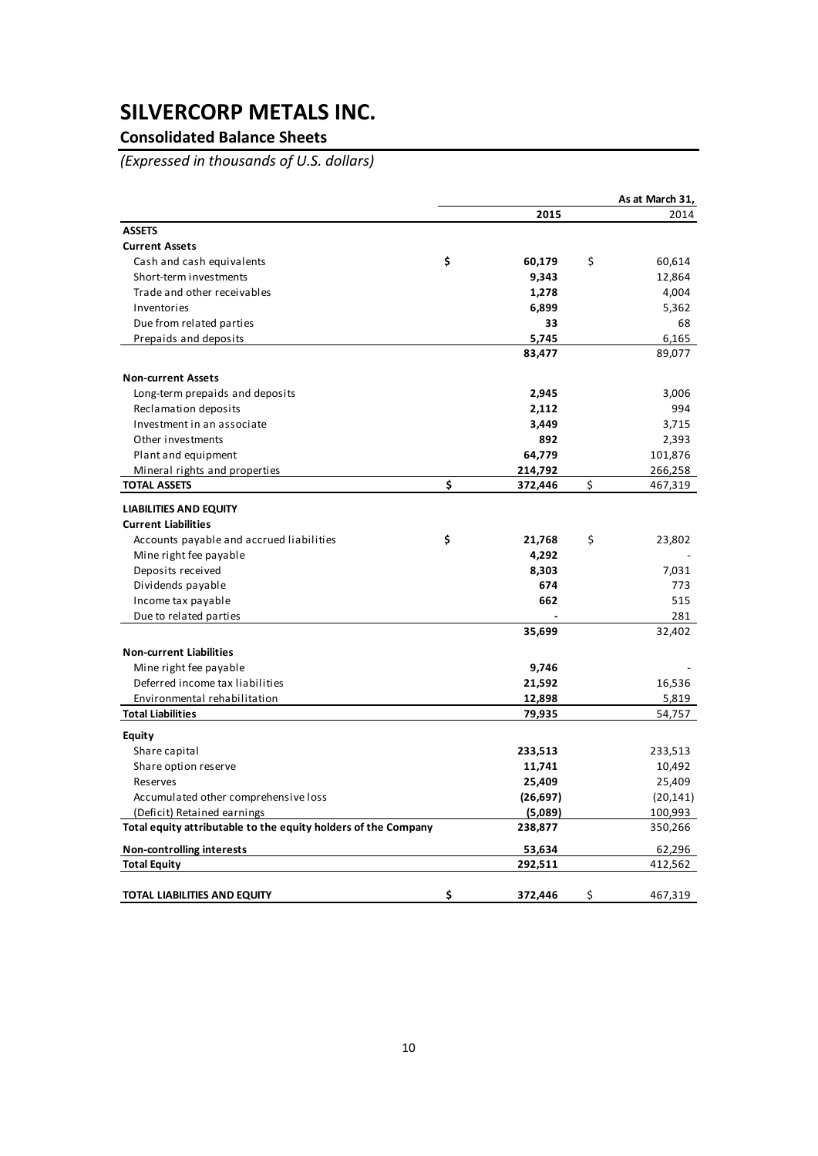## **Consolidated Balance Sheets**

*(Expressed in thousands of U.S. dollars)*

|                                                                | As at March 31, |    |           |
|----------------------------------------------------------------|-----------------|----|-----------|
|                                                                | 2015            |    | 2014      |
| <b>ASSETS</b>                                                  |                 |    |           |
| <b>Current Assets</b>                                          |                 |    |           |
| Cash and cash equivalents                                      | \$<br>60,179    | \$ | 60,614    |
| Short-term investments                                         | 9,343           |    | 12,864    |
| Trade and other receivables                                    | 1,278           |    | 4,004     |
| Inventories                                                    | 6,899           |    | 5,362     |
| Due from related parties                                       | 33              |    | 68        |
| Prepaids and deposits                                          | 5,745           |    | 6,165     |
|                                                                | 83,477          |    | 89,077    |
| <b>Non-current Assets</b>                                      |                 |    |           |
| Long-term prepaids and deposits                                | 2,945           |    | 3,006     |
| Reclamation deposits                                           | 2,112           |    | 994       |
| Investment in an associate                                     | 3,449           |    | 3,715     |
| Other investments                                              | 892             |    | 2,393     |
| Plant and equipment                                            | 64,779          |    | 101,876   |
| Mineral rights and properties                                  | 214,792         |    | 266,258   |
| <b>TOTAL ASSETS</b>                                            | \$<br>372,446   | \$ | 467,319   |
| <b>LIABILITIES AND EQUITY</b>                                  |                 |    |           |
| <b>Current Liabilities</b>                                     |                 |    |           |
| Accounts payable and accrued liabilities                       | \$<br>21,768    | \$ | 23,802    |
| Mine right fee payable                                         | 4,292           |    |           |
| Deposits received                                              | 8,303           |    | 7,031     |
| Dividends payable                                              | 674             |    | 773       |
| Income tax payable                                             | 662             |    | 515       |
| Due to related parties                                         |                 |    | 281       |
|                                                                | 35,699          |    | 32,402    |
| <b>Non-current Liabilities</b>                                 |                 |    |           |
| Mine right fee payable                                         | 9,746           |    |           |
| Deferred income tax liabilities                                | 21,592          |    | 16,536    |
| Environmental rehabilitation                                   | 12,898          |    | 5,819     |
| <b>Total Liabilities</b>                                       | 79,935          |    | 54,757    |
| <b>Equity</b>                                                  |                 |    |           |
| Share capital                                                  | 233,513         |    | 233,513   |
| Share option reserve                                           | 11,741          |    | 10,492    |
| Reserves                                                       | 25,409          |    | 25,409    |
| Accumulated other comprehensive loss                           | (26, 697)       |    | (20, 141) |
| (Deficit) Retained earnings                                    | (5,089)         |    | 100,993   |
| Total equity attributable to the equity holders of the Company | 238,877         |    | 350,266   |
| <b>Non-controlling interests</b>                               | 53,634          |    | 62,296    |
| <b>Total Equity</b>                                            | 292,511         |    | 412,562   |
|                                                                |                 |    |           |
| TOTAL LIABILITIES AND EQUITY                                   | \$<br>372,446   | \$ | 467,319   |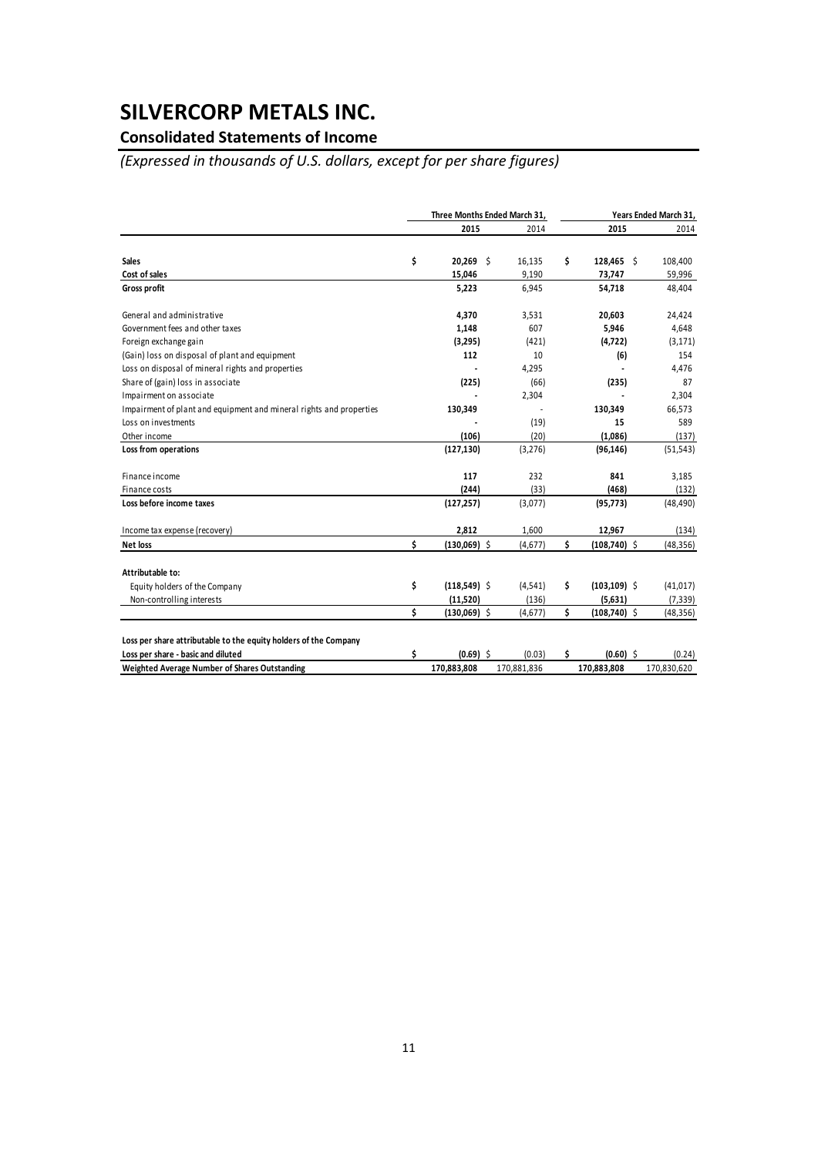### **Consolidated Statements of Income**

*(Expressed in thousands of U.S. dollars, except for per share figures)*

|                                                                     | Three Months Ended March 31, |  | Years Ended March 31, |    |                 |  |             |
|---------------------------------------------------------------------|------------------------------|--|-----------------------|----|-----------------|--|-------------|
|                                                                     | 2015                         |  | 2014                  |    | 2015            |  | 2014        |
|                                                                     |                              |  |                       |    |                 |  |             |
| <b>Sales</b>                                                        | \$<br>$20.269$ \$            |  | 16,135                | \$ | 128,465 \$      |  | 108,400     |
| Cost of sales                                                       | 15,046                       |  | 9,190                 |    | 73,747          |  | 59,996      |
| <b>Gross profit</b>                                                 | 5,223                        |  | 6,945                 |    | 54,718          |  | 48,404      |
| General and administrative                                          | 4,370                        |  | 3,531                 |    | 20,603          |  | 24,424      |
| Government fees and other taxes                                     | 1,148                        |  | 607                   |    | 5,946           |  | 4,648       |
| Foreign exchange gain                                               | (3,295)                      |  | (421)                 |    | (4, 722)        |  | (3, 171)    |
| (Gain) loss on disposal of plant and equipment                      | 112                          |  | 10                    |    | (6)             |  | 154         |
| Loss on disposal of mineral rights and properties                   |                              |  | 4,295                 |    |                 |  | 4,476       |
| Share of (gain) loss in associate                                   | (225)                        |  | (66)                  |    | (235)           |  | 87          |
| Impairment on associate                                             |                              |  | 2,304                 |    |                 |  | 2,304       |
| Impairment of plant and equipment and mineral rights and properties | 130,349                      |  |                       |    | 130,349         |  | 66,573      |
| Loss on investments                                                 |                              |  | (19)                  |    | 15              |  | 589         |
| Other income                                                        | (106)                        |  | (20)                  |    | (1,086)         |  | (137)       |
| Loss from operations                                                | (127, 130)                   |  | (3, 276)              |    | (96, 146)       |  | (51, 543)   |
| Finance income                                                      | 117                          |  | 232                   |    | 841             |  | 3,185       |
| Finance costs                                                       | (244)                        |  | (33)                  |    | (468)           |  | (132)       |
| Loss before income taxes                                            | (127, 257)                   |  | (3,077)               |    | (95, 773)       |  | (48, 490)   |
| Income tax expense (recovery)                                       | 2,812                        |  | 1,600                 |    | 12,967          |  | (134)       |
| Net loss                                                            | \$<br>$(130,069)$ \$         |  | (4, 677)              | \$ | $(108, 740)$ \$ |  | (48, 356)   |
| Attributable to:                                                    |                              |  |                       |    |                 |  |             |
| Equity holders of the Company                                       | \$<br>$(118,549)$ \$         |  | (4, 541)              | \$ | $(103, 109)$ \$ |  | (41, 017)   |
| Non-controlling interests                                           | (11,520)                     |  | (136)                 |    | (5,631)         |  | (7, 339)    |
|                                                                     | \$<br>$(130,069)$ \$         |  | (4, 677)              | \$ | $(108, 740)$ \$ |  | (48, 356)   |
| Loss per share attributable to the equity holders of the Company    |                              |  |                       |    |                 |  |             |
| Loss per share - basic and diluted                                  | \$<br>$(0.69)$ \$            |  | (0.03)                |    | $(0.60)$ \$     |  | (0.24)      |
| Weighted Average Number of Shares Outstanding                       | 170,883,808                  |  | 170,881,836           |    | 170,883,808     |  | 170,830,620 |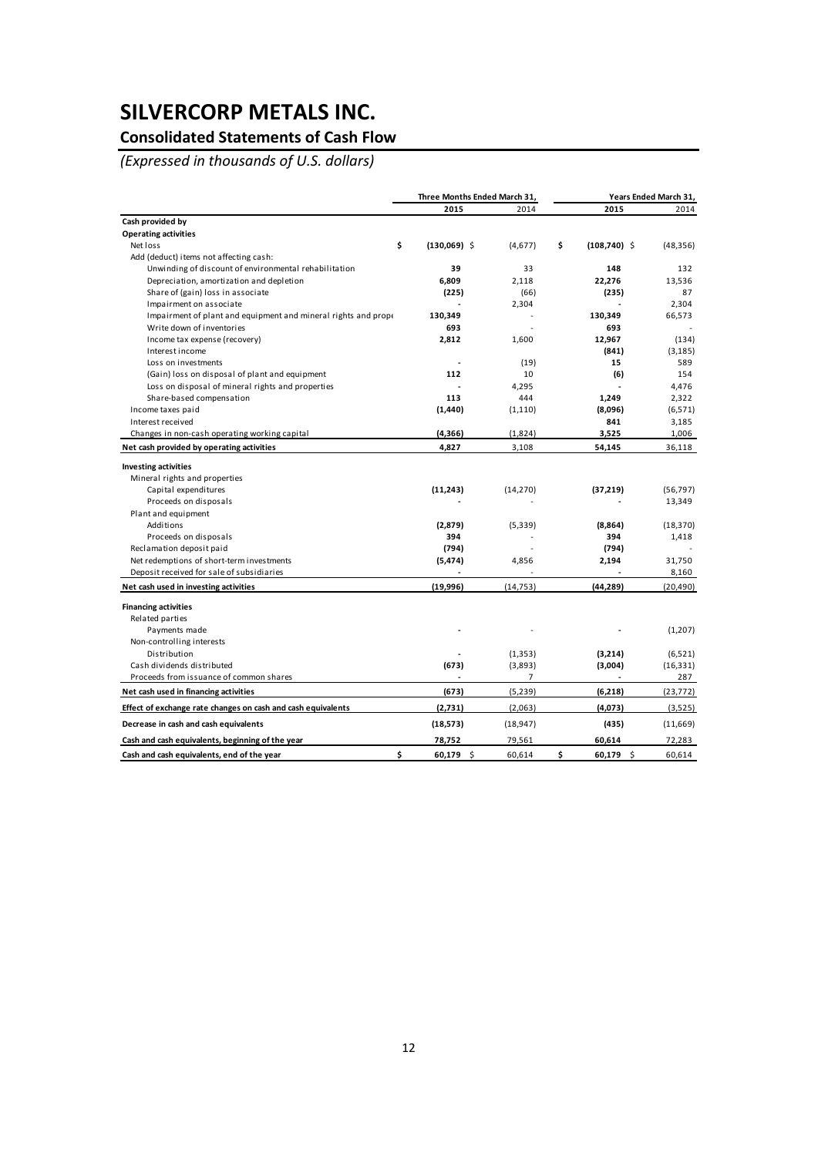## **Consolidated Statements of Cash Flow**

*(Expressed in thousands of U.S. dollars)*

|                                                                |                          | Three Months Ended March 31, |    |                | Years Ended March 31, |
|----------------------------------------------------------------|--------------------------|------------------------------|----|----------------|-----------------------|
|                                                                | 2015                     | 2014                         |    | 2015           | 2014                  |
| Cash provided by                                               |                          |                              |    |                |                       |
| <b>Operating activities</b>                                    |                          |                              |    |                |                       |
| \$<br>Net loss                                                 | $(130,069)$ \$           | (4,677)                      | \$ | $(108,740)$ \$ | (48, 356)             |
| Add (deduct) items not affecting cash:                         |                          |                              |    |                |                       |
| Unwinding of discount of environmental rehabilitation          | 39                       | 33                           |    | 148            | 132                   |
| Depreciation, amortization and depletion                       | 6,809                    | 2.118                        |    | 22,276         | 13,536                |
| Share of (gain) loss in associate                              | (225)                    | (66)                         |    | (235)          | 87                    |
| Impairment on associate                                        |                          | 2,304                        |    |                | 2,304                 |
| Impairment of plant and equipment and mineral rights and prope | 130,349                  |                              |    | 130,349        | 66,573                |
| Write down of inventories                                      | 693                      |                              |    | 693            |                       |
| Income tax expense (recovery)                                  | 2,812                    | 1,600                        |    | 12,967         | (134)                 |
| Interest income                                                |                          |                              |    | (841)          | (3, 185)              |
| Loss on investments                                            | $\overline{\phantom{a}}$ | (19)                         |    | 15             | 589                   |
| (Gain) loss on disposal of plant and equipment                 | 112                      | 10                           |    | (6)            | 154                   |
| Loss on disposal of mineral rights and properties              |                          | 4,295                        |    |                | 4,476                 |
| Share-based compensation                                       | 113                      | 444                          |    | 1,249          | 2,322                 |
| Income taxes paid                                              | (1, 440)                 | (1, 110)                     |    | (8,096)        | (6, 571)              |
| Interest received                                              |                          |                              |    | 841            | 3,185                 |
| Changes in non-cash operating working capital                  | (4,366)                  | (1,824)                      |    | 3,525          | 1,006                 |
| Net cash provided by operating activities                      | 4,827                    | 3,108                        |    | 54,145         | 36,118                |
| <b>Investing activities</b>                                    |                          |                              |    |                |                       |
| Mineral rights and properties                                  |                          |                              |    |                |                       |
| Capital expenditures                                           | (11,243)                 | (14, 270)                    |    | (37,219)       | (56, 797)             |
| Proceeds on disposals                                          |                          |                              |    |                | 13,349                |
| Plant and equipment                                            |                          |                              |    |                |                       |
| Additions                                                      | (2,879)                  | (5, 339)                     |    | (8,864)        | (18, 370)             |
| Proceeds on disposals                                          | 394                      |                              |    | 394            | 1,418                 |
| Reclamation deposit paid                                       | (794)                    |                              |    | (794)          |                       |
| Net redemptions of short-term investments                      | (5, 474)                 | 4,856                        |    | 2,194          | 31,750                |
| Deposit received for sale of subsidiaries                      |                          |                              |    |                | 8,160                 |
| Net cash used in investing activities                          | (19,996)                 | (14, 753)                    |    | (44, 289)      | (20, 490)             |
|                                                                |                          |                              |    |                |                       |
| <b>Financing activities</b>                                    |                          |                              |    |                |                       |
| Related parties                                                |                          |                              |    |                |                       |
| Payments made                                                  |                          |                              |    |                | (1,207)               |
| Non-controlling interests                                      |                          |                              |    |                |                       |
| Distribution                                                   |                          | (1, 353)                     |    | (3,214)        | (6, 521)              |
| Cash dividends distributed                                     | (673)                    | (3,893)                      |    | (3,004)        | (16, 331)             |
| Proceeds from issuance of common shares                        |                          | 7                            |    | ٠              | 287                   |
| Net cash used in financing activities                          | (673)                    | (5, 239)                     |    | (6, 218)       | (23, 772)             |
| Effect of exchange rate changes on cash and cash equivalents   | (2,731)                  | (2,063)                      |    | (4,073)        | (3,525)               |
| Decrease in cash and cash equivalents                          | (18, 573)                | (18, 947)                    |    | (435)          | (11,669)              |
| Cash and cash equivalents, beginning of the year               | 78,752                   | 79,561                       |    | 60,614         | 72,283                |
| \$<br>Cash and cash equivalents, end of the year               | $60,179$ \$              | 60,614                       | \$ | 60,179 \$      | 60,614                |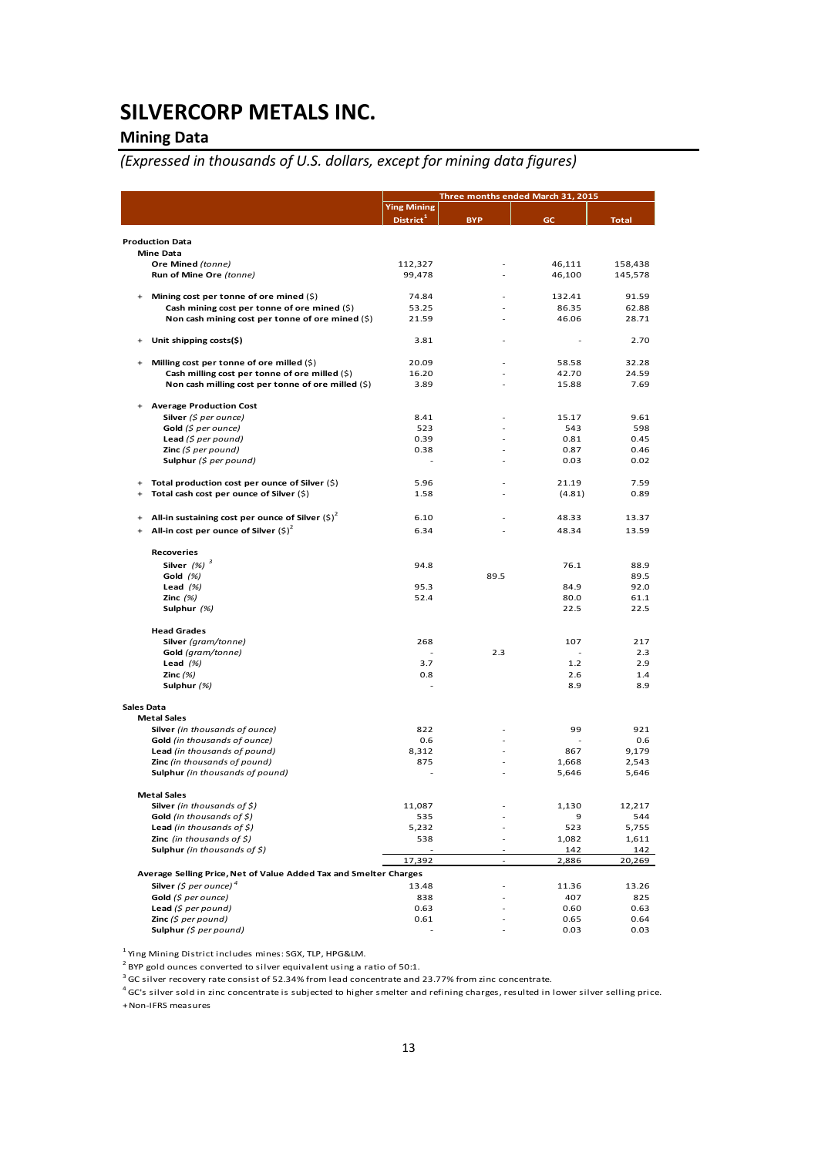### **Mining Data**

### *(Expressed in thousands of U.S. dollars, except for mining data figures)*

|            |                                                                   |                                             | Three months ended March 31, 2015 |              |               |  |
|------------|-------------------------------------------------------------------|---------------------------------------------|-----------------------------------|--------------|---------------|--|
|            |                                                                   | <b>Ying Mining</b><br>District <sup>1</sup> | <b>BYP</b>                        | GC           | <b>Total</b>  |  |
|            | <b>Production Data</b>                                            |                                             |                                   |              |               |  |
|            | <b>Mine Data</b>                                                  |                                             |                                   |              |               |  |
|            | Ore Mined (tonne)                                                 | 112,327                                     |                                   | 46,111       | 158,438       |  |
|            | Run of Mine Ore (tonne)                                           | 99,478                                      |                                   | 46,100       | 145,578       |  |
|            | Mining cost per tonne of ore mined $(\xi)$                        | 74.84                                       |                                   | 132.41       | 91.59         |  |
|            | Cash mining cost per tonne of ore mined (\$)                      | 53.25                                       |                                   | 86.35        | 62.88         |  |
|            | Non cash mining cost per tonne of ore mined (\$)                  | 21.59                                       |                                   | 46.06        | 28.71         |  |
|            | Unit shipping costs(\$)                                           | 3.81                                        |                                   |              | 2.70          |  |
|            | Milling cost per tonne of ore milled (\$)                         | 20.09                                       |                                   | 58.58        | 32.28         |  |
|            | Cash milling cost per tonne of ore milled (\$)                    | 16.20                                       |                                   | 42.70        | 24.59         |  |
|            | Non cash milling cost per tonne of ore milled (\$)                | 3.89                                        |                                   | 15.88        | 7.69          |  |
|            | <b>Average Production Cost</b>                                    |                                             |                                   |              |               |  |
|            | Silver (\$ per ounce)                                             | 8.41                                        |                                   | 15.17        | 9.61          |  |
|            | Gold $(5$ per ounce)<br>Lead $(5$ per pound)                      | 523<br>0.39                                 |                                   | 543<br>0.81  | 598<br>0.45   |  |
|            | <b>Zinc</b> (\$ per pound)                                        | 0.38                                        |                                   | 0.87         | 0.46          |  |
|            | Sulphur (\$ per pound)                                            |                                             |                                   | 0.03         | 0.02          |  |
| $+$        | Total production cost per ounce of Silver (\$)                    | 5.96                                        |                                   | 21.19        | 7.59          |  |
| $\ddot{}$  | Total cash cost per ounce of Silver (\$)                          | 1.58                                        |                                   | (4.81)       | 0.89          |  |
| $\ddot{}$  | All-in sustaining cost per ounce of Silver $(5)^2$                | 6.10                                        |                                   | 48.33        | 13.37         |  |
|            | All-in cost per ounce of Silver $(5)^2$                           | 6.34                                        |                                   | 48.34        | 13.59         |  |
|            | <b>Recoveries</b>                                                 |                                             |                                   |              |               |  |
|            | Silver $(%)$ <sup>3</sup>                                         | 94.8                                        |                                   | 76.1         | 88.9          |  |
|            | Gold (%)                                                          |                                             | 89.5                              |              | 89.5          |  |
|            | Lead $(%)$                                                        | 95.3                                        |                                   | 84.9         | 92.0          |  |
|            | Zinc $(%)$                                                        | 52.4                                        |                                   | 80.0         | 61.1          |  |
|            | Sulphur (%)                                                       |                                             |                                   | 22.5         | 22.5          |  |
|            | <b>Head Grades</b>                                                |                                             |                                   |              |               |  |
|            | Silver (gram/tonne)                                               | 268                                         |                                   | 107          | 217           |  |
|            | Gold (gram/tonne)                                                 |                                             | 2.3                               |              | 2.3           |  |
|            | Lead $(%)$                                                        | 3.7                                         |                                   | 1.2          | 2.9           |  |
|            | Zinc <i>(%)</i>                                                   | 0.8                                         |                                   | 2.6          | 1.4           |  |
|            | Sulphur (%)                                                       |                                             |                                   | 8.9          | 8.9           |  |
| Sales Data | <b>Metal Sales</b>                                                |                                             |                                   |              |               |  |
|            | Silver (in thousands of ounce)                                    | 822                                         |                                   | 99           | 921           |  |
|            | Gold (in thousands of ounce)                                      | 0.6                                         |                                   |              | 0.6           |  |
|            | Lead (in thousands of pound)                                      | 8,312                                       |                                   | 867          | 9,179         |  |
|            | Zinc (in thousands of pound)                                      | 875                                         |                                   | 1,668        | 2,543         |  |
|            | <b>Sulphur</b> (in thousands of pound)                            |                                             |                                   | 5,646        | 5,646         |  |
|            | <b>Metal Sales</b>                                                |                                             |                                   |              |               |  |
|            | <b>Silver</b> (in thousands of $\zeta$ )                          | 11,087                                      |                                   | 1,130        | 12,217        |  |
|            | Gold (in thousands of $\zeta$ )                                   | 535                                         |                                   | 9            | 544           |  |
|            | Lead (in thousands of $\zeta$ )                                   | 5,232                                       |                                   | 523          | 5,755         |  |
|            | <b>Zinc</b> (in thousands of $\zeta$ )                            | 538                                         |                                   | 1,082        | 1,611         |  |
|            | Sulphur (in thousands of \$)                                      | 17,392                                      | ÷,                                | 142<br>2,886 | 142<br>20,269 |  |
|            | Average Selling Price, Net of Value Added Tax and Smelter Charges |                                             |                                   |              |               |  |
|            | <b>Silver</b> (\$ per ounce) <sup>4</sup>                         | 13.48                                       |                                   | 11.36        | 13.26         |  |
|            | Gold (\$ per ounce)                                               | 838                                         |                                   | 407          | 825           |  |
|            | Lead $(S$ per pound)                                              | 0.63                                        |                                   | 0.60         | 0.63          |  |
|            | <b>Zinc</b> (\$ per pound)                                        | 0.61                                        |                                   | 0.65         | 0.64          |  |
|            | Sulphur (\$ per pound)                                            |                                             |                                   | 0.03         | 0.03          |  |

 $<sup>1</sup>$  Ying Mining District includes mines: SGX, TLP, HPG&LM.</sup>

<sup>2</sup> BYP gold ounces converted to silver equivalent using a ratio of 50:1.

 $3$  GC silver recovery rate consist of 52.34% from lead concentrate and 23.77% from zinc concentrate.

4 GC's silver sold in zinc concentrate is subjected to higher smelter and refining charges, resulted in lower silver selling price. +Non‐IFRS measures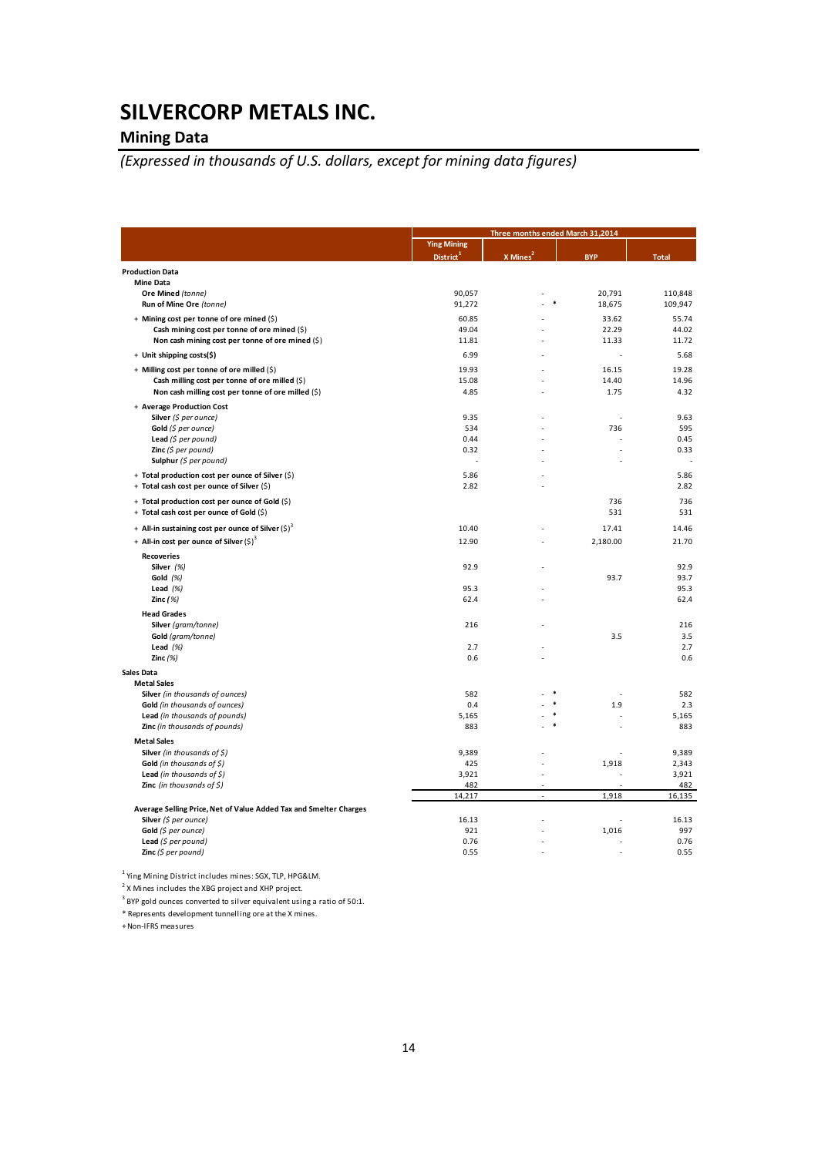## **Mining Data**

*(Expressed in thousands of U.S. dollars, except for mining data figures)*

|                                                                     |                      | Three months ended March 31,2014 |            |                |
|---------------------------------------------------------------------|----------------------|----------------------------------|------------|----------------|
|                                                                     | <b>Ying Mining</b>   |                                  |            |                |
|                                                                     | Distrit <sup>1</sup> | X Mines <sup>2</sup>             | <b>BYP</b> | <b>Total</b>   |
| <b>Production Data</b>                                              |                      |                                  |            |                |
| <b>Mine Data</b>                                                    |                      |                                  |            |                |
| Ore Mined (tonne)                                                   | 90,057               |                                  | 20,791     | 110,848        |
| Run of Mine Ore (tonne)                                             | 91,272               |                                  | 18,675     | 109,947        |
| + Mining cost per tonne of ore mined (\$)                           | 60.85                |                                  | 33.62      | 55.74          |
| Cash mining cost per tonne of ore mined (\$)                        | 49.04                |                                  | 22.29      | 44.02          |
| Non cash mining cost per tonne of ore mined (\$)                    | 11.81                |                                  | 11.33      | 11.72          |
| + Unit shipping costs(\$)                                           | 6.99                 |                                  |            | 5.68           |
| + Milling cost per tonne of ore milled (\$)                         | 19.93                |                                  | 16.15      | 19.28          |
| Cash milling cost per tonne of ore milled (\$)                      | 15.08                |                                  | 14.40      | 14.96          |
| Non cash milling cost per tonne of ore milled (\$)                  | 4.85                 |                                  | 1.75       | 4.32           |
| + Average Production Cost                                           |                      |                                  |            |                |
| Silver (\$ per ounce)                                               | 9.35                 |                                  |            | 9.63           |
| Gold (\$ per ounce)                                                 | 534                  |                                  | 736        | 595            |
| Lead $(S$ per pound)                                                | 0.44                 |                                  |            | 0.45           |
| Zinc $(\xi$ per pound)                                              | 0.32                 |                                  |            | 0.33           |
| Sulphur (\$ per pound)                                              |                      |                                  |            |                |
| + Total production cost per ounce of Silver (\$)                    | 5.86                 |                                  |            | 5.86           |
| + Total cash cost per ounce of Silver (\$)                          | 2.82                 |                                  |            | 2.82           |
| + Total production cost per ounce of Gold (\$)                      |                      |                                  | 736        | 736            |
| + Total cash cost per ounce of Gold (\$)                            |                      |                                  | 531        | 531            |
| + All-in sustaining cost per ounce of Silver $(5)^3$                | 10.40                |                                  | 17.41      | 14.46          |
| + All-in cost per ounce of Silver $(5)^3$                           | 12.90                |                                  | 2,180.00   | 21.70          |
| <b>Recoveries</b>                                                   |                      |                                  |            |                |
| Silver (%)                                                          | 92.9                 |                                  |            | 92.9           |
| Gold $(%)$                                                          |                      |                                  | 93.7       | 93.7           |
| Lead $(\%)$                                                         | 95.3                 |                                  |            | 95.3           |
| Zinc (%)                                                            | 62.4                 |                                  |            | 62.4           |
| <b>Head Grades</b>                                                  |                      |                                  |            |                |
| Silver (gram/tonne)                                                 | 216                  |                                  |            | 216            |
| Gold (gram/tonne)                                                   |                      |                                  | 3.5        | 3.5            |
| Lead $(%)$                                                          | 2.7                  |                                  |            | 2.7            |
| Zinc $(\%)$                                                         | 0.6                  |                                  |            | 0.6            |
| <b>Sales Data</b>                                                   |                      |                                  |            |                |
| <b>Metal Sales</b>                                                  |                      |                                  |            |                |
| Silver (in thousands of ounces)                                     | 582                  |                                  |            | 582            |
| Gold (in thousands of ounces)                                       | 0.4                  | $\ast$                           | 1.9        | 2.3            |
| Lead (in thousands of pounds)                                       | 5,165<br>883         | $\ast$                           |            | 5,165<br>883   |
| Zinc (in thousands of pounds)                                       |                      |                                  |            |                |
| <b>Metal Sales</b>                                                  |                      |                                  |            |                |
| Silver (in thousands of $\zeta$ )                                   | 9,389                |                                  |            | 9,389          |
| Gold (in thousands of \$)<br><b>Lead</b> (in thousands of $\zeta$ ) | 425<br>3,921         |                                  | 1,918      | 2,343<br>3,921 |
| <b>Zinc</b> (in thousands of $\zeta$ )                              | 482                  |                                  |            | 482            |
|                                                                     | 14,217               |                                  | 1,918      | 16,135         |
| Average Selling Price, Net of Value Added Tax and Smelter Charges   |                      |                                  |            |                |
| Silver (\$ per ounce)                                               | 16.13                |                                  |            | 16.13          |
| Gold (\$ per ounce)                                                 | 921                  |                                  | 1,016      | 997            |
| Lead $(5$ per pound)                                                | 0.76                 |                                  |            | 0.76           |
| Zinc $(S$ per pound)                                                | 0.55                 |                                  |            | 0.55           |
|                                                                     |                      |                                  |            |                |

 $1$  Ying Mining District includes mines: SGX, TLP, HPG&LM.

<sup>2</sup> X Mines includes the XBG project and XHP project.

3 BYP gold ounces converted to silver equivalent using a ratio of 50:1.

\* Represents development tunnelling ore at the X mines.

+Non‐IFRS measures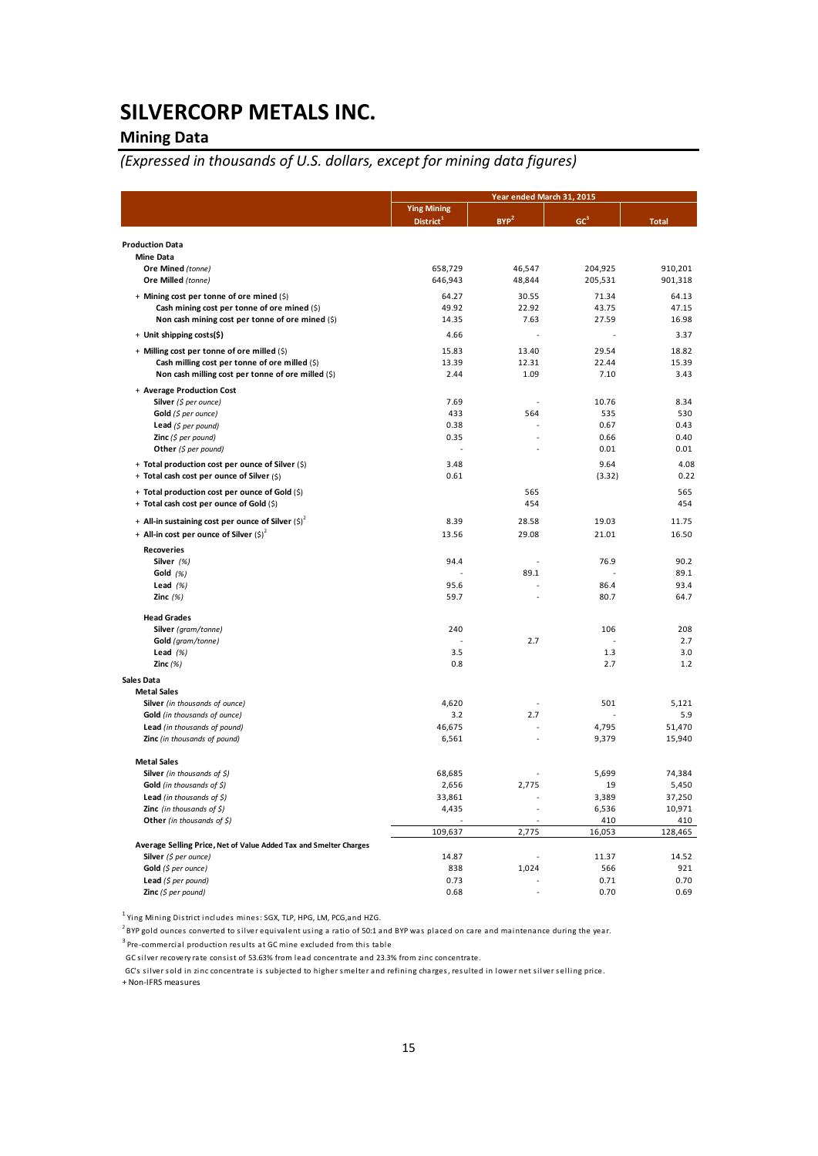### **Mining Data**

## *(Expressed in thousands of U.S. dollars, except for mining data figures)*

|                                                                                                      |                                             | Year ended March 31, 2015 |                 |               |
|------------------------------------------------------------------------------------------------------|---------------------------------------------|---------------------------|-----------------|---------------|
|                                                                                                      | <b>Ying Mining</b><br>District <sup>1</sup> | BYP <sup>2</sup>          | GC <sup>3</sup> | <b>Total</b>  |
| <b>Production Data</b>                                                                               |                                             |                           |                 |               |
| Mine Data                                                                                            |                                             |                           |                 |               |
| Ore Mined (tonne)                                                                                    | 658,729                                     | 46,547                    | 204,925         | 910,201       |
| Ore Milled (tonne)                                                                                   | 646,943                                     | 48,844                    | 205,531         | 901,318       |
| + Mining cost per tonne of ore mined (\$)                                                            | 64.27                                       | 30.55                     | 71.34           | 64.13         |
| Cash mining cost per tonne of ore mined (\$)                                                         | 49.92                                       | 22.92                     | 43.75           | 47.15         |
| Non cash mining cost per tonne of ore mined (\$)                                                     | 14.35                                       | 7.63                      | 27.59           | 16.98         |
| + Unit shipping costs(\$)                                                                            | 4.66                                        |                           |                 | 3.37          |
|                                                                                                      |                                             |                           |                 |               |
| + Milling cost per tonne of ore milled (\$)                                                          | 15.83                                       | 13.40                     | 29.54           | 18.82         |
| Cash milling cost per tonne of ore milled (\$)<br>Non cash milling cost per tonne of ore milled (\$) | 13.39<br>2.44                               | 12.31<br>1.09             | 22.44<br>7.10   | 15.39<br>3.43 |
|                                                                                                      |                                             |                           |                 |               |
| + Average Production Cost                                                                            |                                             |                           |                 |               |
| Silver $(5$ per ounce)                                                                               | 7.69                                        |                           | 10.76           | 8.34          |
| Gold $(5 per ounce)$                                                                                 | 433                                         | 564                       | 535             | 530           |
| Lead $(5 per pound)$                                                                                 | 0.38                                        | L.                        | 0.67            | 0.43          |
| <b>Zinc</b> ( $$$ per pound)                                                                         | 0.35                                        |                           | 0.66            | 0.40<br>0.01  |
| Other (\$ per pound)                                                                                 |                                             |                           | 0.01            |               |
| + Total production cost per ounce of Silver (\$)                                                     | 3.48                                        |                           | 9.64            | 4.08          |
| + Total cash cost per ounce of Silver (\$)                                                           | 0.61                                        |                           | (3.32)          | 0.22          |
| + Total production cost per ounce of Gold (\$)                                                       |                                             | 565                       |                 | 565           |
| + Total cash cost per ounce of Gold (\$)                                                             |                                             | 454                       |                 | 454           |
| + All-in sustaining cost per ounce of Silver $(\xi)^2$                                               | 8.39                                        | 28.58                     | 19.03           | 11.75         |
| + All-in cost per ounce of Silver $(S)^2$                                                            | 13.56                                       | 29.08                     | 21.01           | 16.50         |
|                                                                                                      |                                             |                           |                 |               |
| <b>Recoveries</b>                                                                                    |                                             |                           |                 |               |
| Silver (%)                                                                                           | 94.4                                        |                           | 76.9            | 90.2          |
| Gold $(%)$                                                                                           | 95.6                                        | 89.1                      | 86.4            | 89.1<br>93.4  |
| Lead $(%)$<br>Zinc $(%)$                                                                             | 59.7                                        | $\overline{a}$            | 80.7            | 64.7          |
|                                                                                                      |                                             |                           |                 |               |
| <b>Head Grades</b>                                                                                   |                                             |                           |                 |               |
| Silver (gram/tonne)                                                                                  | 240                                         |                           | 106             | 208           |
| Gold (gram/tonne)                                                                                    |                                             | 2.7                       |                 | 2.7           |
| Lead $(%)$                                                                                           | 3.5                                         |                           | 1.3             | 3.0           |
| Zinc $(\%)$                                                                                          | 0.8                                         |                           | 2.7             | 1.2           |
| Sales Data                                                                                           |                                             |                           |                 |               |
| <b>Metal Sales</b>                                                                                   |                                             |                           |                 |               |
| Silver (in thousands of ounce)                                                                       | 4,620                                       |                           | 501             | 5,121         |
| Gold (in thousands of ounce)                                                                         | 3.2                                         | 2.7                       |                 | 5.9           |
| Lead (in thousands of pound)                                                                         | 46,675                                      |                           | 4,795           | 51,470        |
| Zinc (in thousands of pound)                                                                         | 6,561                                       |                           | 9,379           | 15,940        |
| <b>Metal Sales</b>                                                                                   |                                             |                           |                 |               |
| <b>Silver</b> (in thousands of $\zeta$ )                                                             | 68,685                                      |                           | 5,699           | 74,384        |
| Gold (in thousands of $$)$                                                                           | 2,656                                       | 2,775                     | 19              | 5,450         |
| Lead (in thousands of $\zeta$ )                                                                      | 33,861                                      |                           | 3,389           | 37,250        |
| <b>Zinc</b> (in thousands of $\zeta$ )                                                               | 4,435                                       |                           | 6,536           | 10,971        |
| Other (in thousands of \$)                                                                           |                                             |                           | 410             | 410           |
|                                                                                                      | 109,637                                     | 2,775                     | 16,053          | 128,465       |
| Average Selling Price, Net of Value Added Tax and Smelter Charges                                    |                                             |                           |                 |               |
| Silver (\$ per ounce)                                                                                | 14.87                                       |                           | 11.37           | 14.52         |
| Gold (\$ per ounce)                                                                                  | 838                                         | 1,024                     | 566             | 921           |
| Lead (\$ per pound)                                                                                  | 0.73                                        |                           | 0.71            | 0.70          |
| Zinc $(5$ per pound)                                                                                 | 0.68                                        |                           | 0.70            | 0.69          |

 $1$  Ying Mining District includes mines: SGX, TLP, HPG, LM, PCG, and HZG.

 $^2$ BYP gold ounces converted to silver equivalent using a ratio of 50:1 and BYP was placed on care and maintenance during the year.

<sup>3</sup> Pre-commercial production results at GC mine excluded from this table

GC silver recovery rate consist of 53.63% from lead concentrate and 23.3% from zinc concentrate.

GC's silver sold in zinc concentrate is subjected to higher smelter and refining charges, resulted in lower net silver selling price. + Non‐IFRS measures